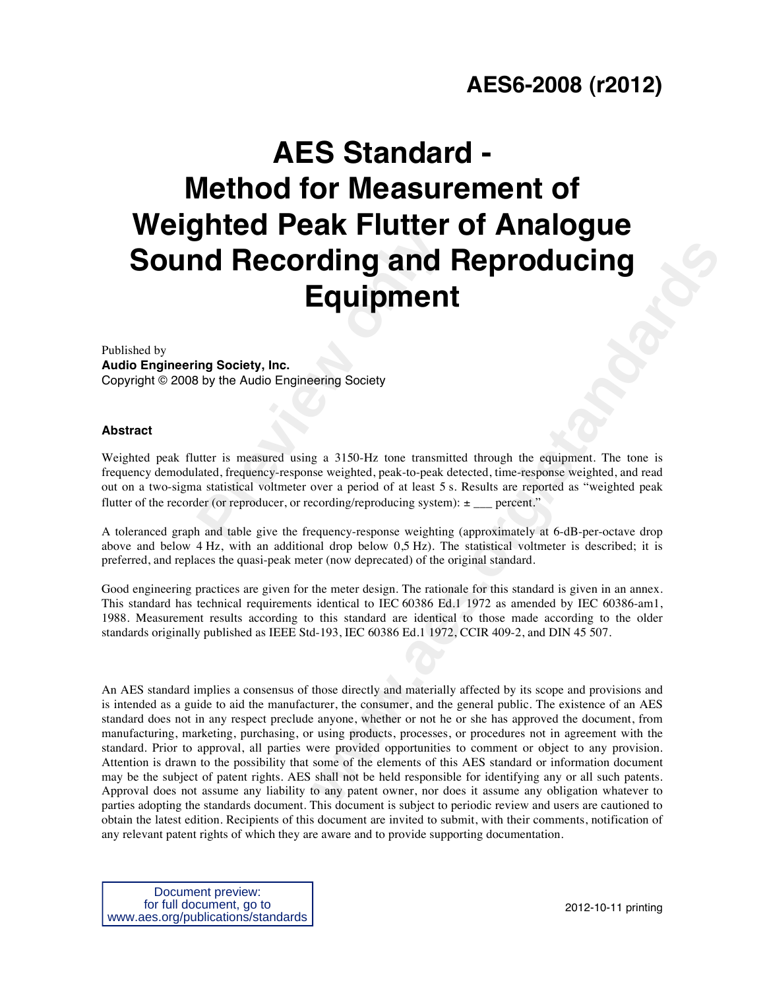# **AES6-2008 (r2012)**

# **Priceured Feant Flutter<br>
<b>Previoling and**<br> **Previoling and**<br> **Previoling Society**<br> **Previoling Society**<br> **Previoling Society**<br> **Previoling Society**<br> **Previoling Society**<br> **Previoling Society**<br> **Previoling Society**<br> **Previ AES Standard - Method for Measurement of Weighted Peak Flutter of Analogue Sound Recording and Reproducing Equipment**

Published by **Audio Engineering Society, Inc.**  Copyright © 2008 by the Audio Engineering Society

#### **Abstract**

Weighted peak flutter is measured using a 3150-Hz tone transmitted through the equipment. The tone is frequency demodulated, frequency-response weighted, peak-to-peak detected, time-response weighted, and read out on a two-sigma statistical voltmeter over a period of at least 5 s. Results are reported as "weighted peak flutter of the recorder (or reproducer, or recording/reproducing system):  $\pm$  percent."

A toleranced graph and table give the frequency-response weighting (approximately at 6-dB-per-octave drop above and below 4 Hz, with an additional drop below 0,5 Hz). The statistical voltmeter is described; it is preferred, and replaces the quasi-peak meter (now deprecated) of the original standard.

Good engineering practices are given for the meter design. The rationale for this standard is given in an annex. This standard has technical requirements identical to IEC 60386 Ed.1 1972 as amended by IEC 60386-am1, 1988. Measurement results according to this standard are identical to those made according to the older standards originally published as IEEE Std-193, IEC 60386 Ed.1 1972, CCIR 409-2, and DIN 45 507.

**Equipment**<br> **Equipment**<br> **Equipment**<br> **Equipment**<br> **Equipment**<br> **Equipment**<br> **Equipment**<br> **Equipment**<br> **Equipment**<br> **We are exampled positive production** (**m** experiment and response expected and read decreted and read de An AES standard implies a consensus of those directly and materially affected by its scope and provisions and is intended as a guide to aid the manufacturer, the consumer, and the general public. The existence of an AES standard does not in any respect preclude anyone, whether or not he or she has approved the document, from manufacturing, marketing, purchasing, or using products, processes, or procedures not in agreement with the standard. Prior to approval, all parties were provided opportunities to comment or object to any provision. Attention is drawn to the possibility that some of the elements of this AES standard or information document may be the subject of patent rights. AES shall not be held responsible for identifying any or all such patents. Approval does not assume any liability to any patent owner, nor does it assume any obligation whatever to parties adopting the standards document. This document is subject to periodic review and users are cautioned to obtain the latest edition. Recipients of this document are invited to submit, with their comments, notification of any relevant patent rights of which they are aware and to provide supporting documentation.

Document preview: for full document, go to www.aes.org/publications/standards

2012-10-11 printing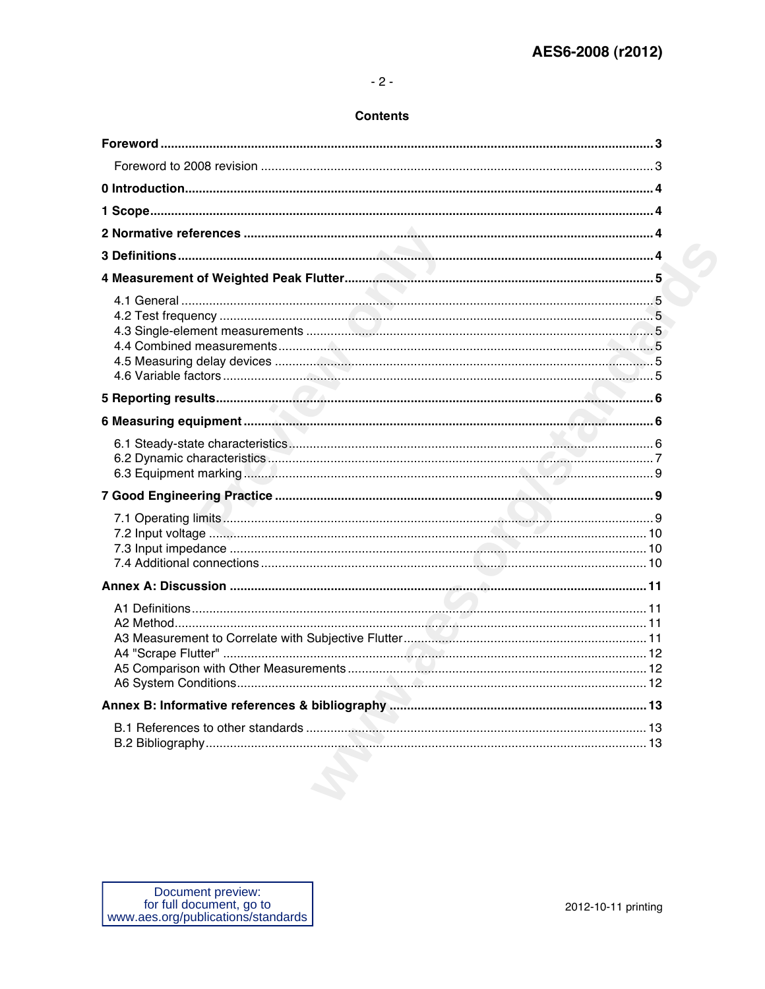#### $-2-$

### **Contents**

| the contract of the contract of the contract of the contract of the contract of the contract of the contract of |
|-----------------------------------------------------------------------------------------------------------------|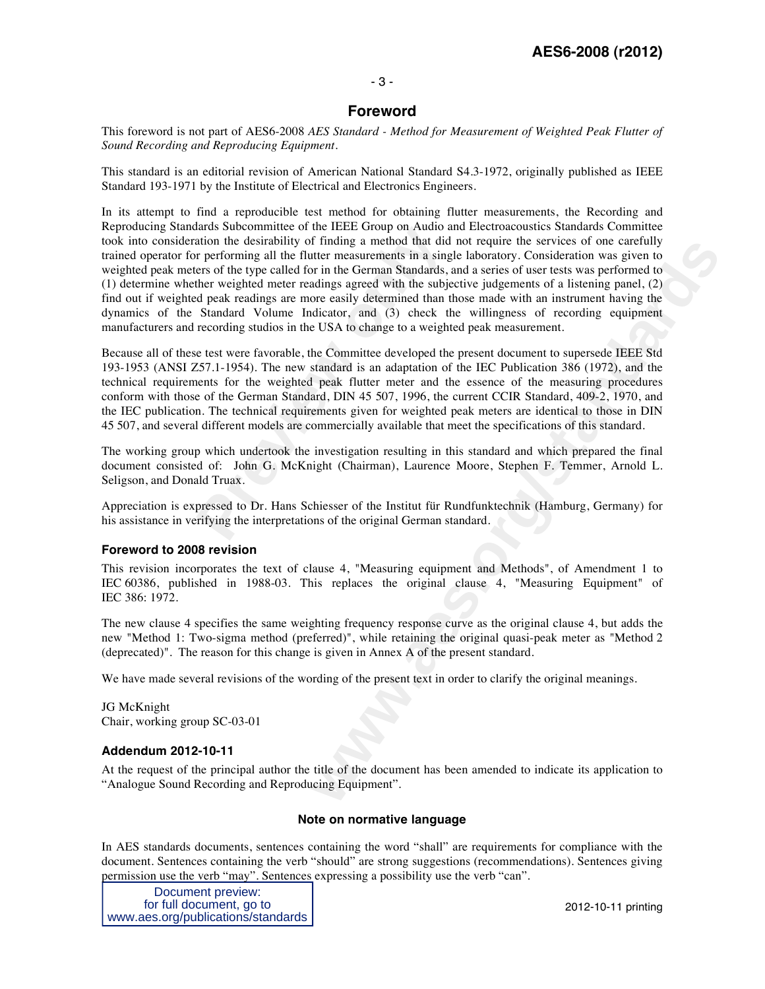# **AES6-2008 (r2012)**

#### - 3 -

#### **Foreword**

This foreword is not part of AES6-2008 *AES Standard - Method for Measurement of Weighted Peak Flutter of Sound Recording and Reproducing Equipment.* 

This standard is an editorial revision of American National Standard S4.3-1972, originally published as IEEE Standard 193-1971 by the Institute of Electrical and Electronics Engineers.

ation the desirability of finding a method that did<br>r performing all the flutter measurements in a sing<br>ers of the type called for in the German Standards, i<br>reforming all the flutter measurements in a sing<br>ther weighted m I mading a melmon that and not require the services of one carefluly<br>ther measurements in a single laboratory. Consideration was given to<br>adings agreed with the subjective judgements of a listening panel, (2)<br>adings agreed In its attempt to find a reproducible test method for obtaining flutter measurements, the Recording and Reproducing Standards Subcommittee of the IEEE Group on Audio and Electroacoustics Standards Committee took into consideration the desirability of finding a method that did not require the services of one carefully trained operator for performing all the flutter measurements in a single laboratory. Consideration was given to weighted peak meters of the type called for in the German Standards, and a series of user tests was performed to (1) determine whether weighted meter readings agreed with the subjective judgements of a listening panel, (2) find out if weighted peak readings are more easily determined than those made with an instrument having the dynamics of the Standard Volume Indicator, and (3) check the willingness of recording equipment manufacturers and recording studios in the USA to change to a weighted peak measurement.

Because all of these test were favorable, the Committee developed the present document to supersede IEEE Std 193-1953 (ANSI Z57.1-1954). The new standard is an adaptation of the IEC Publication 386 (1972), and the technical requirements for the weighted peak flutter meter and the essence of the measuring procedures conform with those of the German Standard, DIN 45 507, 1996, the current CCIR Standard, 409-2, 1970, and the IEC publication. The technical requirements given for weighted peak meters are identical to those in DIN 45 507, and several different models are commercially available that meet the specifications of this standard.

The working group which undertook the investigation resulting in this standard and which prepared the final document consisted of: John G. McKnight (Chairman), Laurence Moore, Stephen F. Temmer, Arnold L. Seligson, and Donald Truax.

Appreciation is expressed to Dr. Hans Schiesser of the Institut für Rundfunktechnik (Hamburg, Germany) for his assistance in verifying the interpretations of the original German standard.

#### **Foreword to 2008 revision**

This revision incorporates the text of clause 4, "Measuring equipment and Methods", of Amendment 1 to IEC 60386, published in 1988-03. This replaces the original clause 4, "Measuring Equipment" of IEC 386: 1972.

The new clause 4 specifies the same weighting frequency response curve as the original clause 4, but adds the new "Method 1: Two-sigma method (preferred)", while retaining the original quasi-peak meter as "Method 2 (deprecated)". The reason for this change is given in Annex A of the present standard.

We have made several revisions of the wording of the present text in order to clarify the original meanings.

JG McKnight Chair, working group SC-03-01

#### **Addendum 2012-10-11**

At the request of the principal author the title of the document has been amended to indicate its application to "Analogue Sound Recording and Reproducing Equipment".

#### **Note on normative language**

In AES standards documents, sentences containing the word "shall" are requirements for compliance with the document. Sentences containing the verb "should" are strong suggestions (recommendations). Sentences giving permission use the verb "may". Sentences expressing a possibility use the verb "can".

Document preview: for full document, go to www.aes.org/publications/standards

2012-10-11 printing